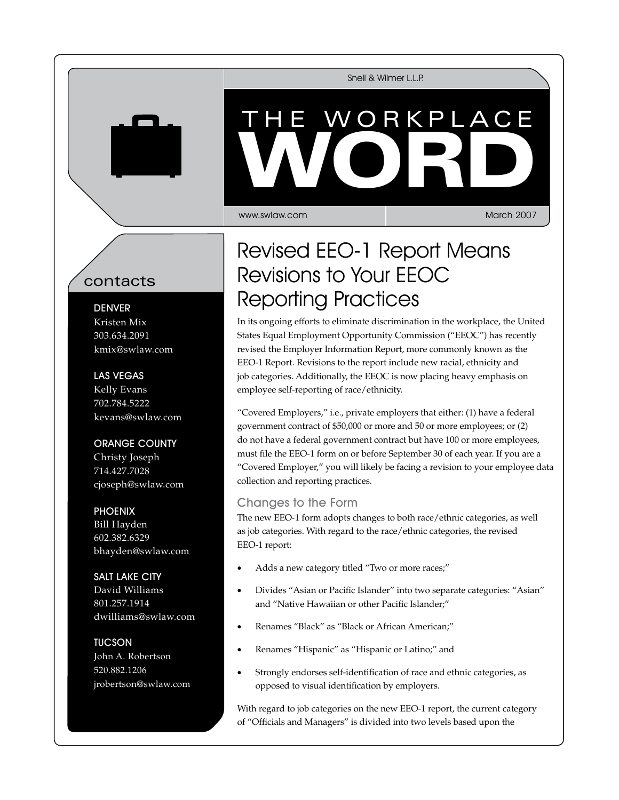Snell & Wilmer L.L.P.

# WORKPL VVORD THE WORKPLACE WORD

www.swlaw.com

March 2007

## contacts

#### **DENVER**

Kristen Mix 303.634.2091 kmix@swlaw.com

### Las Vegas

Kelly Evans 702.784.5222 kevans@swlaw.com

### Orange County

Christy Joseph 714.427.7028 cjoseph@swlaw.com

### **PHOENIX**

Bill Hayden 602.382.6329 bhayden@swlaw.com

## Salt Lake City David Williams

801.257.1914 dwilliams@swlaw.com

## **TUCSON**

John A. Robertson 520.882.1206 jrobertson@swlaw.com

## Revised EEO-1 Report Means Revisions to Your EEOC Reporting Practices

In its ongoing efforts to eliminate discrimination in the workplace, the United States Equal Employment Opportunity Commission ("EEOC") has recently revised the Employer Information Report, more commonly known as the EEO-1 Report. Revisions to the report include new racial, ethnicity and job categories. Additionally, the EEOC is now placing heavy emphasis on employee self-reporting of race/ethnicity.

"Covered Employers," i.e., private employers that either: (1) have a federal government contract of \$50,000 or more and 50 or more employees; or (2) do not have a federal government contract but have 100 or more employees, must file the EEO-1 form on or before September 30 of each year. If you are a "Covered Employer," you will likely be facing a revision to your employee data collection and reporting practices.

## Changes to the Form

The new EEO-1 form adopts changes to both race/ethnic categories, as well as job categories. With regard to the race/ethnic categories, the revised EEO-1 report:

- Adds a new category titled "Two or more races;"
- Divides "Asian or Pacific Islander" into two separate categories: "Asian" and "Native Hawaiian or other Pacific Islander;"
- Renames "Black" as "Black or African American;"
- Renames "Hispanic" as "Hispanic or Latino;" and
- Strongly endorses self-identification of race and ethnic categories, as opposed to visual identification by employers.

With regard to job categories on the new EEO-1 report, the current category of "Officials and Managers" is divided into two levels based upon the